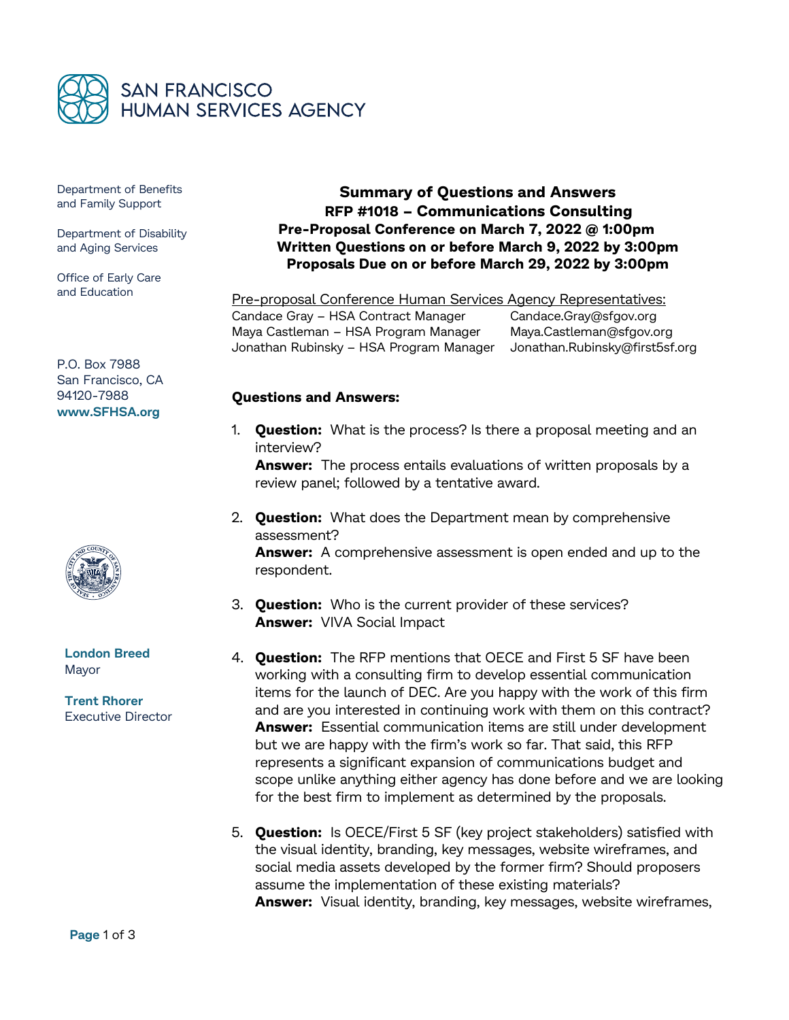

Department of Benefits and Family Support

Department of Disability and Aging Services

Office of Early Care and Education

P.O. Box 7988 San Francisco, CA 94120-7988 **www.SFHSA.org**



**London Breed** Mayor

**Trent Rhorer** Executive Director

**Summary of Questions and Answers RFP #1018 – Communications Consulting Pre-Proposal Conference on March 7, 2022 @ 1:00pm Written Questions on or before March 9, 2022 by 3:00pm Proposals Due on or before March 29, 2022 by 3:00pm**

Pre-proposal Conference Human Services Agency Representatives: Candace Gray - HSA Contract Manager Candace.Gray@sfgov.org Maya Castleman – HSA Program Manager Maya.Castleman@sfgov.org Jonathan Rubinsky – HSA Program Manager [Jonathan.Rubinsky@f](mailto:Jonathan.Rubinsky@)irst5sf.org

## **Questions and Answers:**

1. **Question:** What is the process? Is there a proposal meeting and an interview?

**Answer:** The process entails evaluations of written proposals by a review panel; followed by a tentative award.

2. **Question:** What does the Department mean by comprehensive assessment?

**Answer:** A comprehensive assessment is open ended and up to the respondent.

- 3. **Question:** Who is the current provider of these services? **Answer:** VIVA Social Impact
- 4. **Question:** The RFP mentions that OECE and First 5 SF have been working with a consulting firm to develop essential communication items for the launch of DEC. Are you happy with the work of this firm and are you interested in continuing work with them on this contract? **Answer:** Essential communication items are still under development but we are happy with the firm's work so far. That said, this RFP represents a significant expansion of communications budget and scope unlike anything either agency has done before and we are looking for the best firm to implement as determined by the proposals.
- 5. **Question:** Is OECE/First 5 SF (key project stakeholders) satisfied with the visual identity, branding, key messages, website wireframes, and social media assets developed by the former firm? Should proposers assume the implementation of these existing materials? **Answer:** Visual identity, branding, key messages, website wireframes,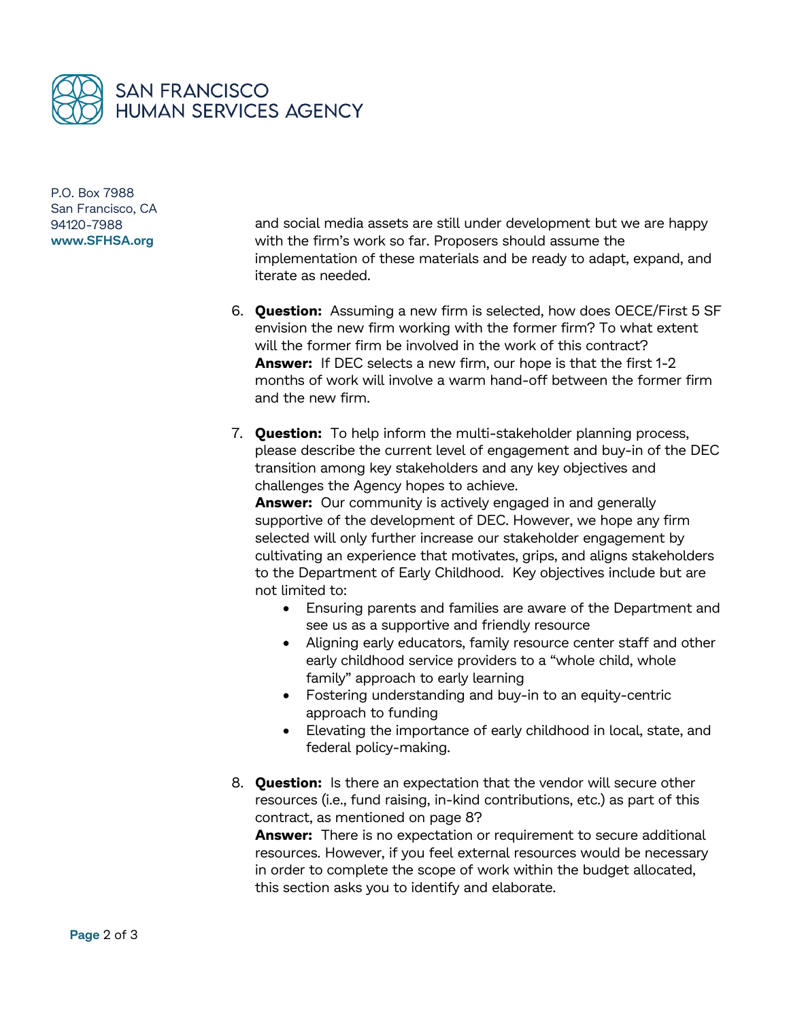

P.O. Box 7988 San Francisco, CA 94120-7988 **www.SFHSA.org**

and social media assets are still under development but we are happy with the firm's work so far. Proposers should assume the implementation of these materials and be ready to adapt, expand, and iterate as needed.

- 6. **Question:** Assuming a new firm is selected, how does OECE/First 5 SF envision the new firm working with the former firm? To what extent will the former firm be involved in the work of this contract? **Answer:** If DEC selects a new firm, our hope is that the first 1-2 months of work will involve a warm hand-off between the former firm and the new firm.
- 7. **Question:** To help inform the multi-stakeholder planning process, please describe the current level of engagement and buy-in of the DEC transition among key stakeholders and any key objectives and challenges the Agency hopes to achieve.

**Answer:** Our community is actively engaged in and generally supportive of the development of DEC. However, we hope any firm selected will only further increase our stakeholder engagement by cultivating an experience that motivates, grips, and aligns stakeholders to the Department of Early Childhood. Key objectives include but are not limited to:

- Ensuring parents and families are aware of the Department and see us as a supportive and friendly resource
- Aligning early educators, family resource center staff and other early childhood service providers to a "whole child, whole family" approach to early learning
- Fostering understanding and buy-in to an equity-centric approach to funding
- Elevating the importance of early childhood in local, state, and federal policy-making.
- 8. **Question:** Is there an expectation that the vendor will secure other resources (i.e., fund raising, in-kind contributions, etc.) as part of this contract, as mentioned on page 8?

**Answer:** There is no expectation or requirement to secure additional resources. However, if you feel external resources would be necessary in order to complete the scope of work within the budget allocated, this section asks you to identify and elaborate.